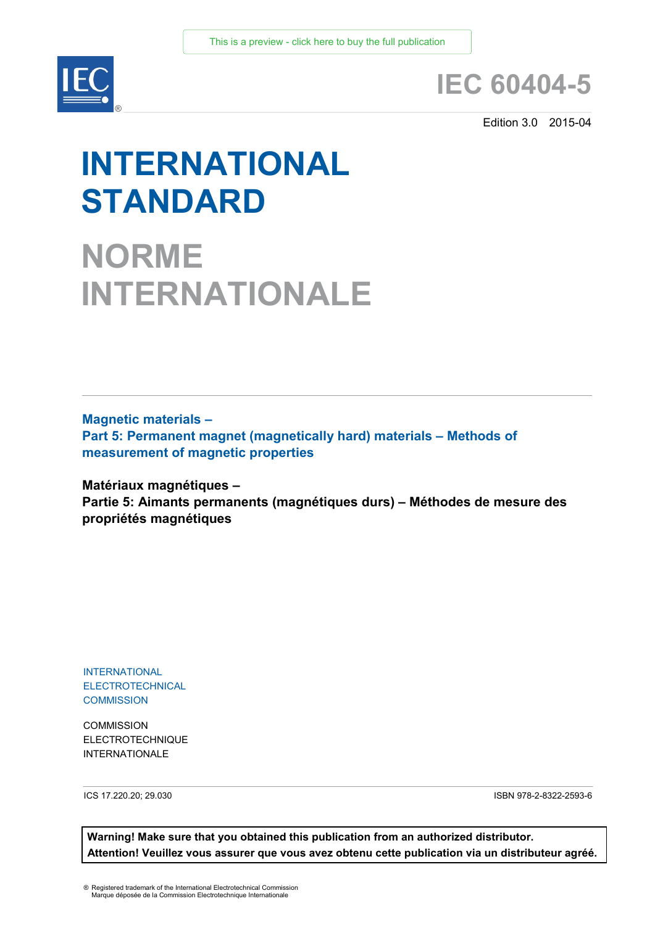

# **IEC 60404-5**

Edition 3.0 2015-04

# **INTERNATIONAL STANDARD**

**NORME INTERNATIONALE**

**Magnetic materials – Part 5: Permanent magnet (magnetically hard) materials – Methods of measurement of magnetic properties**

**Matériaux magnétiques –** 

**Partie 5: Aimants permanents (magnétiques durs) – Méthodes de mesure des propriétés magnétiques**

INTERNATIONAL **ELECTROTECHNICAL COMMISSION** 

**COMMISSION** ELECTROTECHNIQUE INTERNATIONALE

ICS 17.220.20; 29.030 ISBN 978-2-8322-2593-6

**Warning! Make sure that you obtained this publication from an authorized distributor. Attention! Veuillez vous assurer que vous avez obtenu cette publication via un distributeur agréé.**

® Registered trademark of the International Electrotechnical Commission Marque déposée de la Commission Electrotechnique Internationale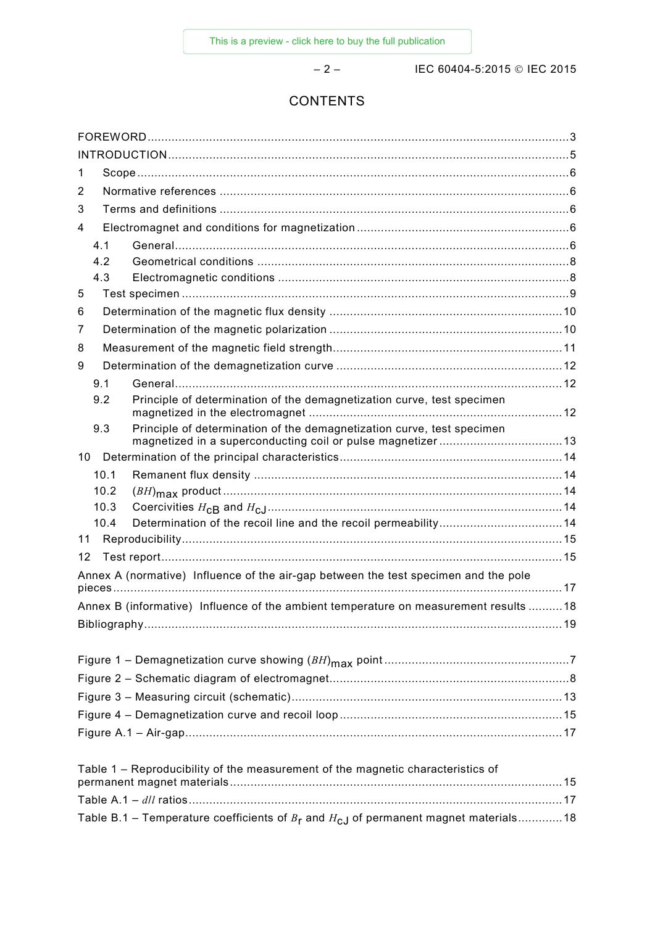– 2 – IEC 60404-5:2015 IEC 2015

# **CONTENTS**

| 1                                                                                          |  |  |  |  |  |
|--------------------------------------------------------------------------------------------|--|--|--|--|--|
| 2                                                                                          |  |  |  |  |  |
| 3                                                                                          |  |  |  |  |  |
| 4                                                                                          |  |  |  |  |  |
| 4.1                                                                                        |  |  |  |  |  |
| 4.2                                                                                        |  |  |  |  |  |
| 4.3                                                                                        |  |  |  |  |  |
| 5                                                                                          |  |  |  |  |  |
| 6                                                                                          |  |  |  |  |  |
| 7                                                                                          |  |  |  |  |  |
| 8                                                                                          |  |  |  |  |  |
| 9                                                                                          |  |  |  |  |  |
| 9.1                                                                                        |  |  |  |  |  |
| Principle of determination of the demagnetization curve, test specimen<br>9.2              |  |  |  |  |  |
| Principle of determination of the demagnetization curve, test specimen<br>9.3              |  |  |  |  |  |
| 10                                                                                         |  |  |  |  |  |
| 10.1                                                                                       |  |  |  |  |  |
| 10.2                                                                                       |  |  |  |  |  |
| 10.3                                                                                       |  |  |  |  |  |
| 10.4                                                                                       |  |  |  |  |  |
| 11                                                                                         |  |  |  |  |  |
| 12                                                                                         |  |  |  |  |  |
| Annex A (normative) Influence of the air-gap between the test specimen and the pole        |  |  |  |  |  |
| Annex B (informative) Influence of the ambient temperature on measurement results 18       |  |  |  |  |  |
|                                                                                            |  |  |  |  |  |
|                                                                                            |  |  |  |  |  |
|                                                                                            |  |  |  |  |  |
|                                                                                            |  |  |  |  |  |
|                                                                                            |  |  |  |  |  |
|                                                                                            |  |  |  |  |  |
| Table 1 - Reproducibility of the measurement of the magnetic characteristics of            |  |  |  |  |  |
|                                                                                            |  |  |  |  |  |
|                                                                                            |  |  |  |  |  |
| Table B.1 – Temperature coefficients of $B_r$ and $H_{cJ}$ of permanent magnet materials18 |  |  |  |  |  |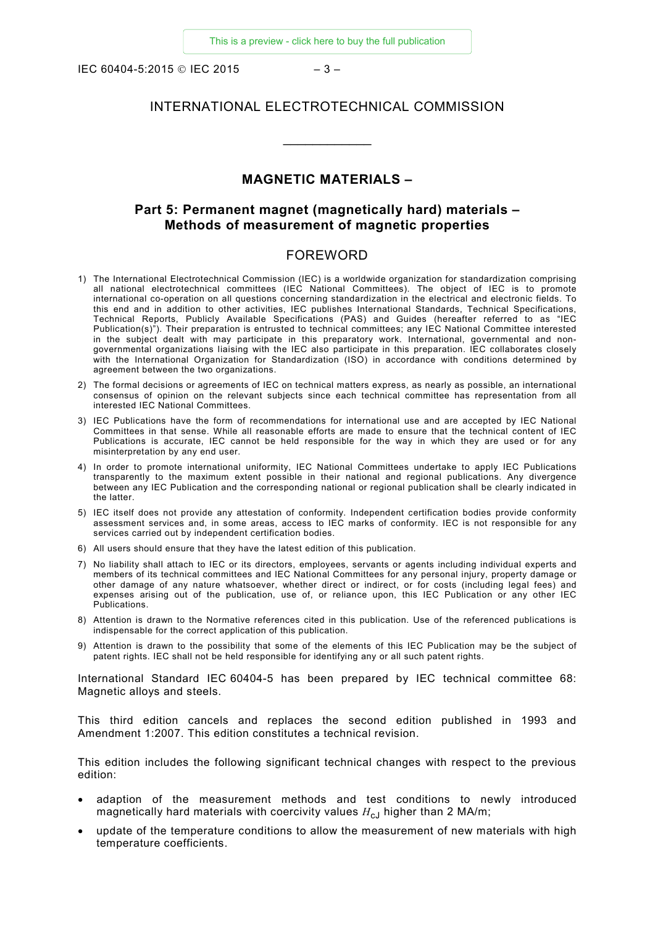IEC 60404-5:2015 © IEC 2015 – 3 –

# INTERNATIONAL ELECTROTECHNICAL COMMISSION

 $\overline{\phantom{a}}$ 

# **MAGNETIC MATERIALS –**

# **Part 5: Permanent magnet (magnetically hard) materials – Methods of measurement of magnetic properties**

#### FOREWORD

- <span id="page-2-0"></span>1) The International Electrotechnical Commission (IEC) is a worldwide organization for standardization comprising all national electrotechnical committees (IEC National Committees). The object of IEC is to promote international co-operation on all questions concerning standardization in the electrical and electronic fields. To this end and in addition to other activities, IEC publishes International Standards, Technical Specifications, Technical Reports, Publicly Available Specifications (PAS) and Guides (hereafter referred to as "IEC Publication(s)"). Their preparation is entrusted to technical committees; any IEC National Committee interested in the subject dealt with may participate in this preparatory work. International, governmental and nongovernmental organizations liaising with the IEC also participate in this preparation. IEC collaborates closely with the International Organization for Standardization (ISO) in accordance with conditions determined by agreement between the two organizations.
- 2) The formal decisions or agreements of IEC on technical matters express, as nearly as possible, an international consensus of opinion on the relevant subjects since each technical committee has representation from all interested IEC National Committees.
- 3) IEC Publications have the form of recommendations for international use and are accepted by IEC National Committees in that sense. While all reasonable efforts are made to ensure that the technical content of IEC Publications is accurate, IEC cannot be held responsible for the way in which they are used or for any misinterpretation by any end user.
- 4) In order to promote international uniformity, IEC National Committees undertake to apply IEC Publications transparently to the maximum extent possible in their national and regional publications. Any divergence between any IEC Publication and the corresponding national or regional publication shall be clearly indicated in the latter.
- 5) IEC itself does not provide any attestation of conformity. Independent certification bodies provide conformity assessment services and, in some areas, access to IEC marks of conformity. IEC is not responsible for any services carried out by independent certification bodies.
- 6) All users should ensure that they have the latest edition of this publication.
- 7) No liability shall attach to IEC or its directors, employees, servants or agents including individual experts and members of its technical committees and IEC National Committees for any personal injury, property damage or other damage of any nature whatsoever, whether direct or indirect, or for costs (including legal fees) and expenses arising out of the publication, use of, or reliance upon, this IEC Publication or any other IEC Publications.
- 8) Attention is drawn to the Normative references cited in this publication. Use of the referenced publications is indispensable for the correct application of this publication.
- 9) Attention is drawn to the possibility that some of the elements of this IEC Publication may be the subject of patent rights. IEC shall not be held responsible for identifying any or all such patent rights.

International Standard IEC 60404-5 has been prepared by IEC technical committee 68: Magnetic alloys and steels.

This third edition cancels and replaces the second edition published in 1993 and Amendment 1:2007. This edition constitutes a technical revision.

This edition includes the following significant technical changes with respect to the previous edition:

- adaption of the measurement methods and test conditions to newly introduced magnetically hard materials with coercivity values  $H_{cJ}$  higher than 2 MA/m;
- update of the temperature conditions to allow the measurement of new materials with high temperature coefficients.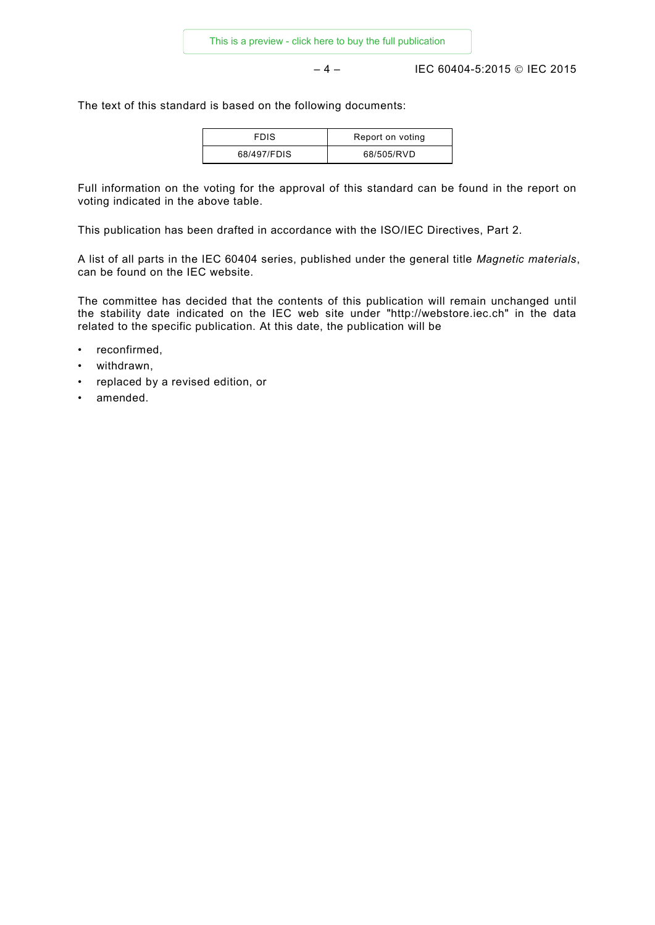– 4 – IEC 60404-5:2015 IEC 2015

The text of this standard is based on the following documents:

| <b>FDIS</b> | Report on voting |
|-------------|------------------|
| 68/497/FDIS | 68/505/RVD       |

Full information on the voting for the approval of this standard can be found in the report on voting indicated in the above table.

This publication has been drafted in accordance with the ISO/IEC Directives, Part 2.

A list of all parts in the IEC 60404 series, published under the general title *Magnetic materials*, can be found on the IEC website.

The committee has decided that the contents of this publication will remain unchanged until the stability date indicated on the IEC web site under "http://webstore.iec.ch" in the data related to the specific publication. At this date, the publication will be

- reconfirmed,
- withdrawn,
- replaced by a revised edition, or
- amended.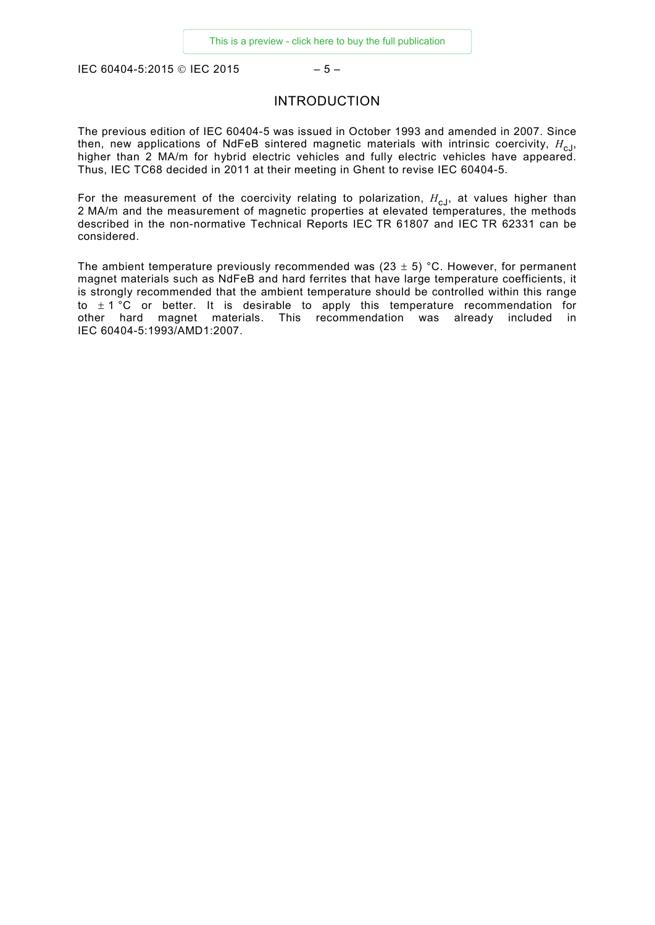<span id="page-4-0"></span>IEC 60404-5:2015 © IEC 2015 – 5 –

# INTRODUCTION

The previous edition of IEC 60404-5 was issued in October 1993 and amended in 2007. Since then, new applications of NdFeB sintered magnetic materials with intrinsic coercivity,  $H_{c,1}$ , higher than 2 MA/m for hybrid electric vehicles and fully electric vehicles have appeared. Thus, IEC TC68 decided in 2011 at their meeting in Ghent to revise IEC 60404-5.

For the measurement of the coercivity relating to polarization,  $H_{c,j}$ , at values higher than 2 MA/m and the measurement of magnetic properties at elevated temperatures, the methods described in the non-normative Technical Reports IEC TR 61807 and IEC TR 62331 can be considered.

The ambient temperature previously recommended was  $(23 \pm 5)$  °C. However, for permanent magnet materials such as NdFeB and hard ferrites that have large temperature coefficients, it is strongly recommended that the ambient temperature should be controlled within this range to  $\pm$  1 °C or better. It is desirable to apply this temperature recommendation for other hard magnet materials. This recommendation was already included in IEC 60404-5:1993/AMD1:2007.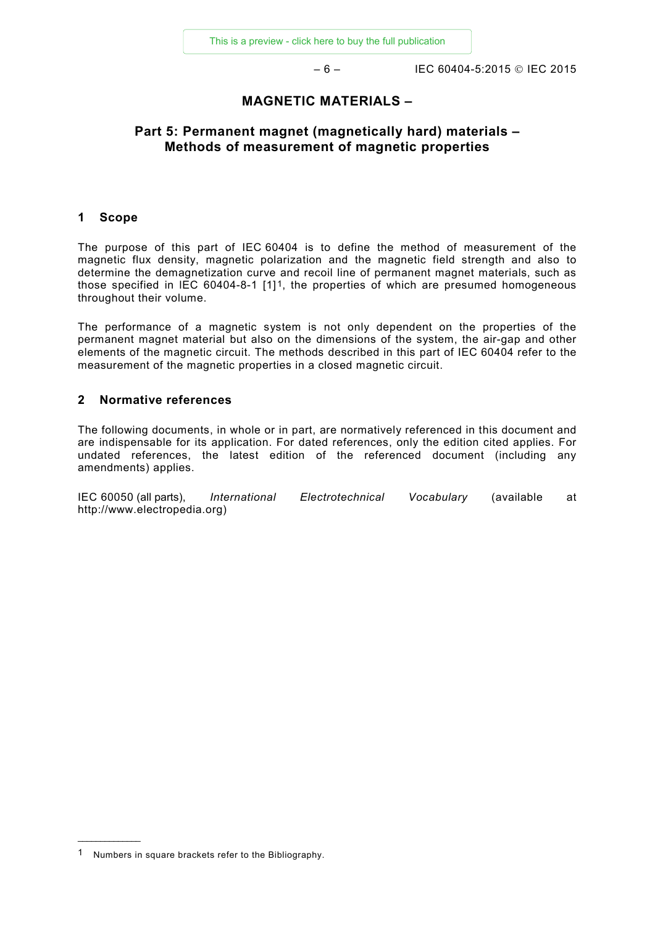– 6 – IEC 60404-5:2015 IEC 2015

# **MAGNETIC MATERIALS –**

# **Part 5: Permanent magnet (magnetically hard) materials – Methods of measurement of magnetic properties**

#### <span id="page-5-0"></span>**1 Scope**

The purpose of this part of IEC 60404 is to define the method of measurement of the magnetic flux density, magnetic polarization and the magnetic field strength and also to determine the demagnetization curve and recoil line of permanent magnet materials, such as those specified in IEC 60404-8-1  $[1]$ <sup>1</sup>, the properties of which are presumed homogeneous throughout their volume.

The performance of a magnetic system is not only dependent on the properties of the permanent magnet material but also on the dimensions of the system, the air-gap and other elements of the magnetic circuit. The methods described in this part of IEC 60404 refer to the measurement of the magnetic properties in a closed magnetic circuit.

#### <span id="page-5-1"></span>**2 Normative references**

The following documents, in whole or in part, are normatively referenced in this document and are indispensable for its application. For dated references, only the edition cited applies. For undated references, the latest edition of the referenced document (including any amendments) applies.

<span id="page-5-4"></span><span id="page-5-3"></span><span id="page-5-2"></span>IEC 60050 (all parts), *International Electrotechnical Vocabulary* (available at http:/[/www.electropedia.org\)](http://www.electropedia.org/)

\_\_\_\_\_\_\_\_\_\_\_\_\_\_

<span id="page-5-5"></span><sup>1</sup> Numbers in square brackets refer to the Bibliography.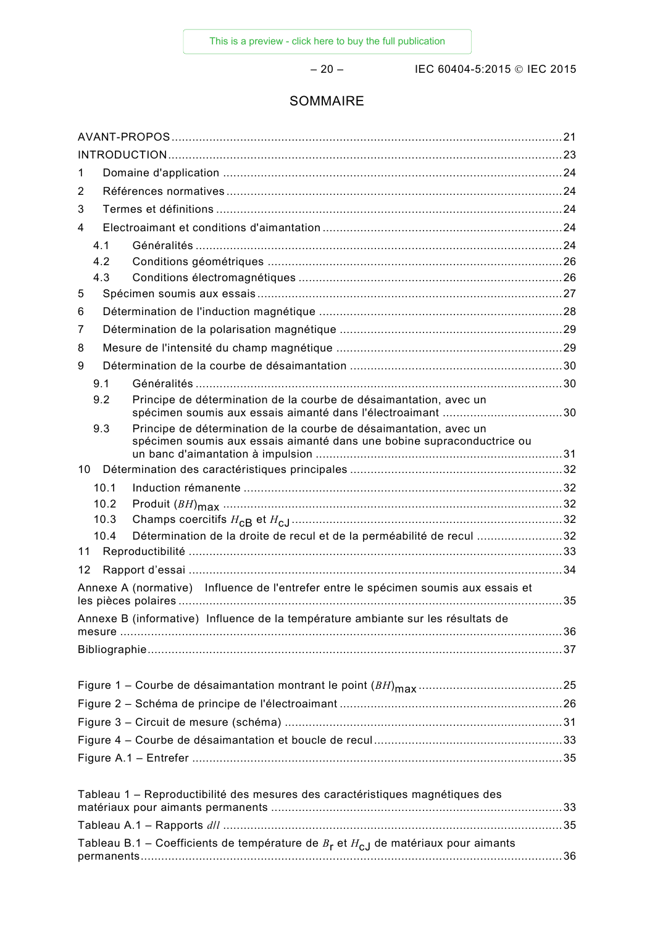– 20 – IEC 60404-5:2015 IEC 2015

# SOMMAIRE

| 1                                                                                         |              |                                                                                                                                             |  |  |  |  |
|-------------------------------------------------------------------------------------------|--------------|---------------------------------------------------------------------------------------------------------------------------------------------|--|--|--|--|
| 2                                                                                         |              |                                                                                                                                             |  |  |  |  |
| 3                                                                                         |              |                                                                                                                                             |  |  |  |  |
| 4                                                                                         |              |                                                                                                                                             |  |  |  |  |
|                                                                                           | 4.1          |                                                                                                                                             |  |  |  |  |
|                                                                                           | 4.2          |                                                                                                                                             |  |  |  |  |
|                                                                                           | 4.3          |                                                                                                                                             |  |  |  |  |
| 5                                                                                         |              |                                                                                                                                             |  |  |  |  |
| 6                                                                                         |              |                                                                                                                                             |  |  |  |  |
| 7                                                                                         |              |                                                                                                                                             |  |  |  |  |
| 8                                                                                         |              |                                                                                                                                             |  |  |  |  |
| 9                                                                                         |              |                                                                                                                                             |  |  |  |  |
|                                                                                           | 9.1          |                                                                                                                                             |  |  |  |  |
|                                                                                           | 9.2          | Principe de détermination de la courbe de désaimantation, avec un                                                                           |  |  |  |  |
|                                                                                           | 9.3          | Principe de détermination de la courbe de désaimantation, avec un<br>spécimen soumis aux essais aimanté dans une bobine supraconductrice ou |  |  |  |  |
|                                                                                           |              |                                                                                                                                             |  |  |  |  |
| 10 <sup>°</sup>                                                                           |              |                                                                                                                                             |  |  |  |  |
|                                                                                           | 10.1<br>10.2 |                                                                                                                                             |  |  |  |  |
|                                                                                           | 10.3         |                                                                                                                                             |  |  |  |  |
|                                                                                           | 10.4         | Détermination de la droite de recul et de la perméabilité de recul 32                                                                       |  |  |  |  |
| 11                                                                                        |              |                                                                                                                                             |  |  |  |  |
| 12                                                                                        |              |                                                                                                                                             |  |  |  |  |
|                                                                                           |              | Annexe A (normative) Influence de l'entrefer entre le spécimen soumis aux essais et                                                         |  |  |  |  |
|                                                                                           |              |                                                                                                                                             |  |  |  |  |
| Annexe B (informative) Influence de la température ambiante sur les résultats de          |              |                                                                                                                                             |  |  |  |  |
|                                                                                           |              |                                                                                                                                             |  |  |  |  |
|                                                                                           |              |                                                                                                                                             |  |  |  |  |
|                                                                                           |              |                                                                                                                                             |  |  |  |  |
|                                                                                           |              |                                                                                                                                             |  |  |  |  |
|                                                                                           |              |                                                                                                                                             |  |  |  |  |
|                                                                                           |              |                                                                                                                                             |  |  |  |  |
|                                                                                           |              |                                                                                                                                             |  |  |  |  |
|                                                                                           |              |                                                                                                                                             |  |  |  |  |
|                                                                                           |              | Tableau 1 - Reproductibilité des mesures des caractéristiques magnétiques des                                                               |  |  |  |  |
|                                                                                           |              |                                                                                                                                             |  |  |  |  |
|                                                                                           |              |                                                                                                                                             |  |  |  |  |
| Tableau B.1 – Coefficients de température de $B_r$ et $H_{c,j}$ de matériaux pour aimants |              |                                                                                                                                             |  |  |  |  |
|                                                                                           |              |                                                                                                                                             |  |  |  |  |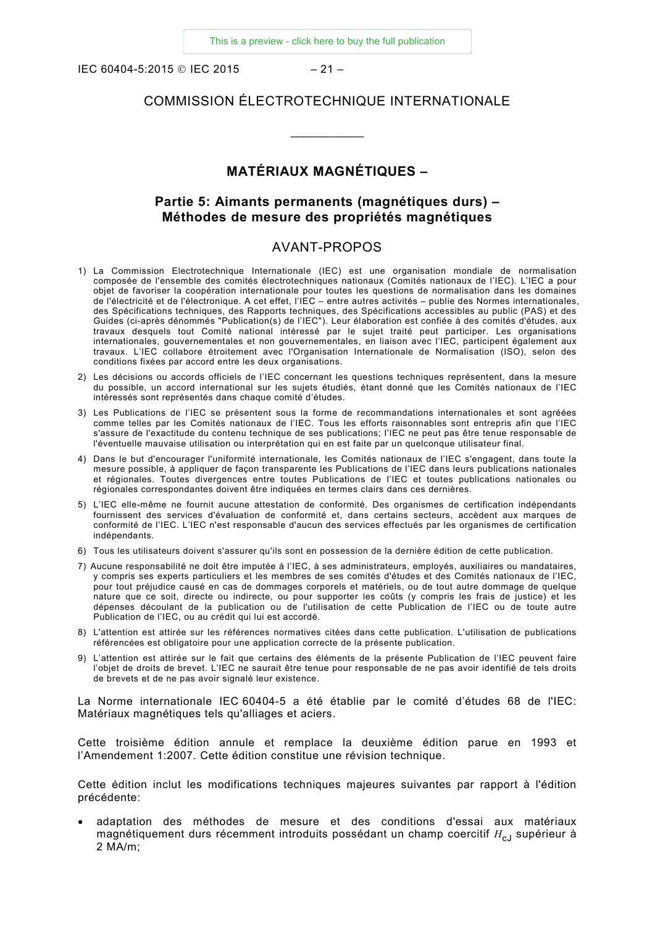IEC 60404-5:2015 © IEC 2015 – 21 –

# COMMISSION ÉLECTROTECHNIQUE INTERNATIONALE

\_\_\_\_\_\_\_\_\_\_\_\_

# **MATÉRIAUX MAGNÉTIQUES –**

# **Partie 5: Aimants permanents (magnétiques durs) – Méthodes de mesure des propriétés magnétiques**

## AVANT-PROPOS

- <span id="page-7-0"></span>1) La Commission Electrotechnique Internationale (IEC) est une organisation mondiale de normalisation composée de l'ensemble des comités électrotechniques nationaux (Comités nationaux de l'IEC). L'IEC a pour objet de favoriser la coopération internationale pour toutes les questions de normalisation dans les domaines de l'électricité et de l'électronique. A cet effet, l'IEC – entre autres activités – publie des Normes internationales, des Spécifications techniques, des Rapports techniques, des Spécifications accessibles au public (PAS) et des Guides (ci-après dénommés "Publication(s) de l'IEC"). Leur élaboration est confiée à des comités d'études, aux travaux desquels tout Comité national intéressé par le sujet traité peut participer. Les organisations internationales, gouvernementales et non gouvernementales, en liaison avec l'IEC, participent également aux travaux. L'IEC collabore étroitement avec l'Organisation Internationale de Normalisation (ISO), selon des conditions fixées par accord entre les deux organisations.
- 2) Les décisions ou accords officiels de l'IEC concernant les questions techniques représentent, dans la mesure du possible, un accord international sur les sujets étudiés, étant donné que les Comités nationaux de l'IEC intéressés sont représentés dans chaque comité d'études.
- 3) Les Publications de l'IEC se présentent sous la forme de recommandations internationales et sont agréées comme telles par les Comités nationaux de l'IEC. Tous les efforts raisonnables sont entrepris afin que l'IEC s'assure de l'exactitude du contenu technique de ses publications; l'IEC ne peut pas être tenue responsable de l'éventuelle mauvaise utilisation ou interprétation qui en est faite par un quelconque utilisateur final.
- 4) Dans le but d'encourager l'uniformité internationale, les Comités nationaux de l'IEC s'engagent, dans toute la mesure possible, à appliquer de façon transparente les Publications de l'IEC dans leurs publications nationales et régionales. Toutes divergences entre toutes Publications de l'IEC et toutes publications nationales ou régionales correspondantes doivent être indiquées en termes clairs dans ces dernières.
- 5) L'IEC elle-même ne fournit aucune attestation de conformité. Des organismes de certification indépendants fournissent des services d'évaluation de conformité et, dans certains secteurs, accèdent aux marques de conformité de l'IEC. L'IEC n'est responsable d'aucun des services effectués par les organismes de certification indépendants.
- 6) Tous les utilisateurs doivent s'assurer qu'ils sont en possession de la dernière édition de cette publication.
- 7) Aucune responsabilité ne doit être imputée à l'IEC, à ses administrateurs, employés, auxiliaires ou mandataires, y compris ses experts particuliers et les membres de ses comités d'études et des Comités nationaux de l'IEC, pour tout préjudice causé en cas de dommages corporels et matériels, ou de tout autre dommage de quelque nature que ce soit, directe ou indirecte, ou pour supporter les coûts (y compris les frais de justice) et les dépenses découlant de la publication ou de l'utilisation de cette Publication de l'IEC ou de toute autre Publication de l'IEC, ou au crédit qui lui est accordé.
- 8) L'attention est attirée sur les références normatives citées dans cette publication. L'utilisation de publications référencées est obligatoire pour une application correcte de la présente publication.
- 9) L'attention est attirée sur le fait que certains des éléments de la présente Publication de l'IEC peuvent faire l'objet de droits de brevet. L'IEC ne saurait être tenue pour responsable de ne pas avoir identifié de tels droits de brevets et de ne pas avoir signalé leur existence.

La Norme internationale IEC 60404-5 a été établie par le comité d'études 68 de l'IEC: Matériaux magnétiques tels qu'alliages et aciers.

Cette troisième édition annule et remplace la deuxième édition parue en 1993 et l'Amendement 1:2007. Cette édition constitue une révision technique.

Cette édition inclut les modifications techniques majeures suivantes par rapport à l'édition précédente:

• adaptation des méthodes de mesure et des conditions d'essai aux matériaux magnétiquement durs récemment introduits possédant un champ coercitif *H<sub>cJ</sub>* supérieur à 2 MA/m;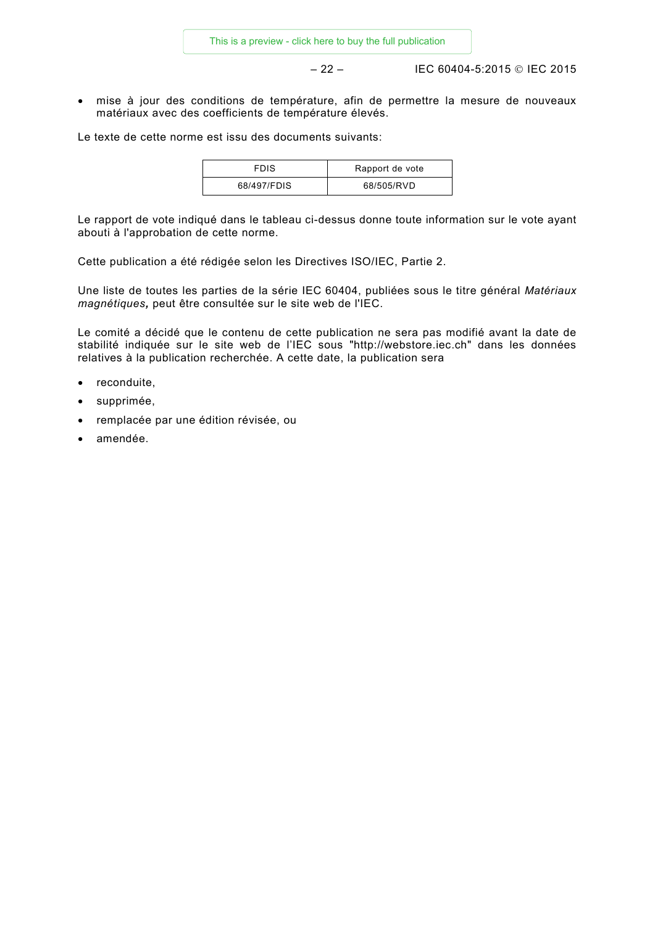– 22 – IEC 60404-5:2015 IEC 2015

• mise à jour des conditions de température, afin de permettre la mesure de nouveaux matériaux avec des coefficients de température élevés.

Le texte de cette norme est issu des documents suivants:

| <b>FDIS</b> | Rapport de vote |
|-------------|-----------------|
| 68/497/FDIS | 68/505/RVD      |

Le rapport de vote indiqué dans le tableau ci-dessus donne toute information sur le vote ayant abouti à l'approbation de cette norme.

Cette publication a été rédigée selon les Directives ISO/IEC, Partie 2.

Une liste de toutes les parties de la série IEC 60404, publiées sous le titre général *Matériaux magnétiques,* peut être consultée sur le site web de l'IEC.

Le comité a décidé que le contenu de cette publication ne sera pas modifié avant la date de stabilité indiquée sur le site web de l'IEC sous "http://webstore.iec.ch" dans les données relatives à la publication recherchée. A cette date, la publication sera

- reconduite,
- supprimée,
- remplacée par une édition révisée, ou
- amendée.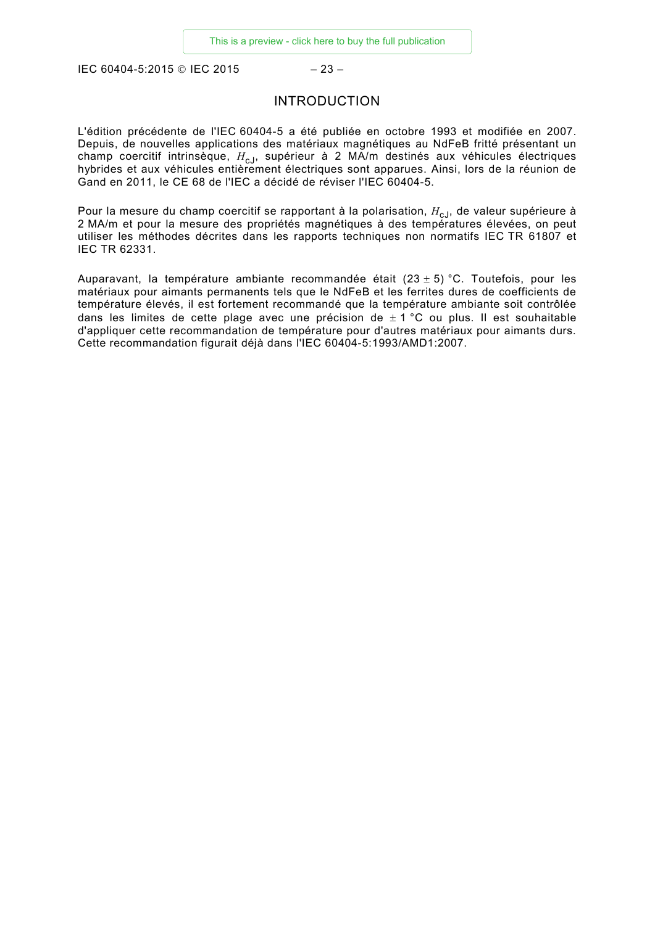<span id="page-9-0"></span>IEC 60404-5:2015 © IEC 2015 – 23 –

# INTRODUCTION

L'édition précédente de l'IEC 60404-5 a été publiée en octobre 1993 et modifiée en 2007. Depuis, de nouvelles applications des matériaux magnétiques au NdFeB fritté présentant un champ coercitif intrinsèque, H<sub>cJ</sub>, supérieur à 2 MA/m destinés aux véhicules électriques hybrides et aux véhicules entièrement électriques sont apparues. Ainsi, lors de la réunion de Gand en 2011, le CE 68 de l'IEC a décidé de réviser l'IEC 60404-5.

Pour la mesure du champ coercitif se rapportant à la polarisation,  $H_{cJ}$ , de valeur supérieure à 2 MA/m et pour la mesure des propriétés magnétiques à des températures élevées, on peut utiliser les méthodes décrites dans les rapports techniques non normatifs IEC TR 61807 et IEC TR 62331.

Auparavant, la température ambiante recommandée était  $(23 \pm 5)$  °C. Toutefois, pour les matériaux pour aimants permanents tels que le NdFeB et les ferrites dures de coefficients de température élevés, il est fortement recommandé que la température ambiante soit contrôlée dans les limites de cette plage avec une précision de  $\pm$  1 °C ou plus. Il est souhaitable d'appliquer cette recommandation de température pour d'autres matériaux pour aimants durs. Cette recommandation figurait déjà dans l'IEC 60404-5:1993/AMD1:2007.